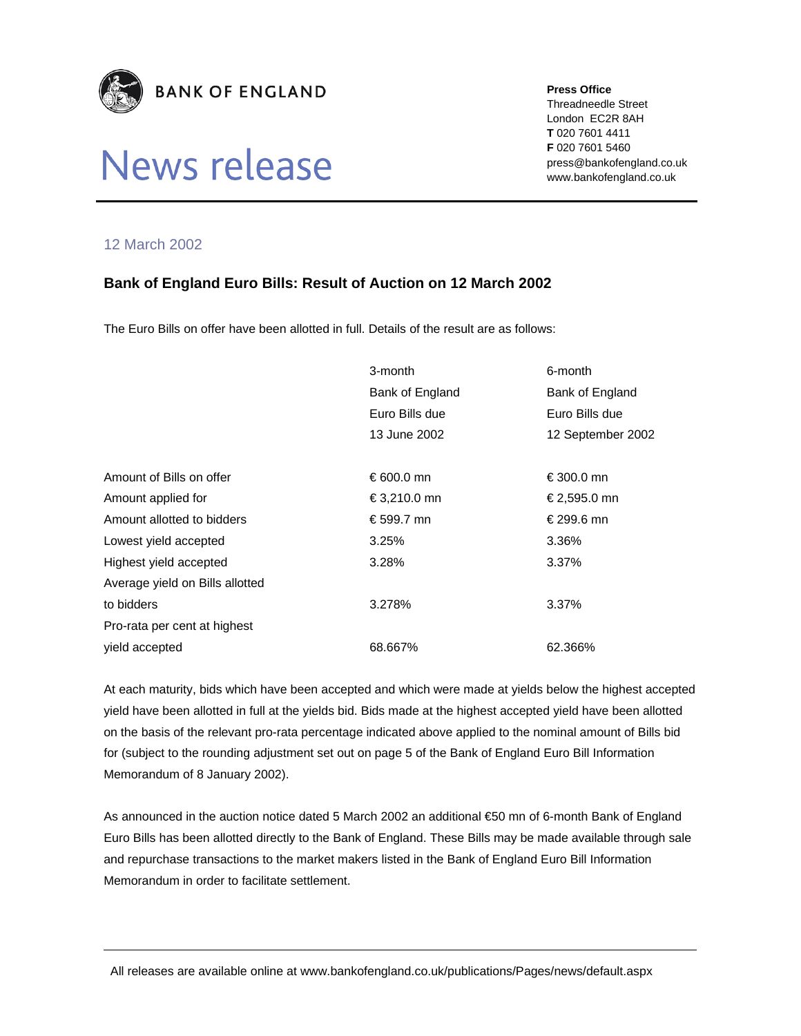

## News release

**Press Office** 

Threadneedle Street London EC2R 8AH **T** 020 7601 4411 **F** 020 7601 5460 press@bankofengland.co.uk www.bankofengland.co.uk

## 12 March 2002

## **Bank of England Euro Bills: Result of Auction on 12 March 2002**

The Euro Bills on offer have been allotted in full. Details of the result are as follows:

|                                 | 3-month         | 6-month           |
|---------------------------------|-----------------|-------------------|
|                                 | Bank of England | Bank of England   |
|                                 | Euro Bills due  | Euro Bills due    |
|                                 | 13 June 2002    | 12 September 2002 |
|                                 |                 |                   |
| Amount of Bills on offer        | € 600.0 mn      | €300.0 mn         |
| Amount applied for              | €3,210.0 mn     | €2,595.0 mn       |
| Amount allotted to bidders      | € 599.7 mn      | € 299.6 mn        |
| Lowest yield accepted           | 3.25%           | 3.36%             |
| Highest yield accepted          | 3.28%           | 3.37%             |
| Average yield on Bills allotted |                 |                   |
| to bidders                      | 3.278%          | 3.37%             |
| Pro-rata per cent at highest    |                 |                   |
| vield accepted                  | 68.667%         | 62.366%           |

At each maturity, bids which have been accepted and which were made at yields below the highest accepted yield have been allotted in full at the yields bid. Bids made at the highest accepted yield have been allotted on the basis of the relevant pro-rata percentage indicated above applied to the nominal amount of Bills bid for (subject to the rounding adjustment set out on page 5 of the Bank of England Euro Bill Information Memorandum of 8 January 2002).

As announced in the auction notice dated 5 March 2002 an additional €50 mn of 6-month Bank of England Euro Bills has been allotted directly to the Bank of England. These Bills may be made available through sale and repurchase transactions to the market makers listed in the Bank of England Euro Bill Information Memorandum in order to facilitate settlement.